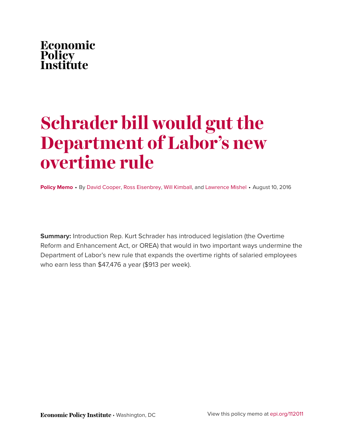

# **Schrader bill would gut the Department of Labor's new overtime rule**

**Policy Memo** • By [David Cooper](http://www.epi.org/people/david-cooper/), [Ross Eisenbrey,](http://www.epi.org/people/ross-eisenbrey/) [Will Kimball,](http://www.epi.org/people/will-kimball/) and [Lawrence Mishel](http://www.epi.org/people/lawrence-mishel/) • August 10, 2016

**Summary:** Introduction Rep. Kurt Schrader has introduced legislation (the Overtime Reform and Enhancement Act, or OREA) that would in two important ways undermine the Department of Labor's new rule that expands the overtime rights of salaried employees who earn less than \$47,476 a year (\$913 per week).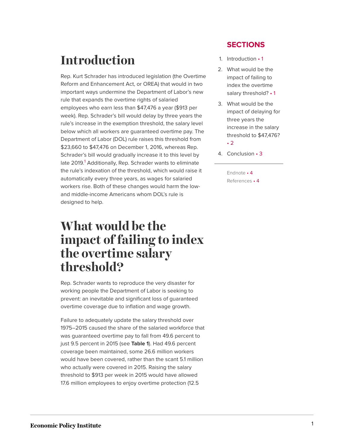## <span id="page-1-0"></span>**Introduction**

Rep. Kurt Schrader has introduced legislation (the Overtime Reform and Enhancement Act, or OREA) that would in two important ways undermine the Department of Labor's new rule that expands the overtime rights of salaried employees who earn less than \$47,476 a year (\$913 per week). Rep. Schrader's bill would delay by three years the rule's increase in the exemption threshold, the salary level below which all workers are guaranteed overtime pay. The Department of Labor (DOL) rule raises this threshold from \$23,660 to \$47,476 on December 1, 2016, whereas Rep. Schrader's bill would gradually increase it to this level by late 20[1](#page-4-2)9.<sup>1</sup> Additionally, Rep. Schrader wants to eliminate the rule's indexation of the threshold, which would raise it automatically every three years, as wages for salaried workers rise. Both of these changes would harm the lowand middle-income Americans whom DOL's rule is designed to help.

### <span id="page-1-2"></span><span id="page-1-1"></span>**What would be the impact of failing to index the overtime salary threshold?**

Rep. Schrader wants to reproduce the very disaster for working people the Department of Labor is seeking to prevent: an inevitable and significant loss of guaranteed overtime coverage due to inflation and wage growth.

Failure to adequately update the salary threshold over 1975–2015 caused the share of the salaried workforce that was guaranteed overtime pay to fall from 49.6 percent to just 9.5 percent in 2015 (see **Table 1**). Had 49.6 percent coverage been maintained, some 26.6 million workers would have been covered, rather than the scant 5.1 million who actually were covered in 2015. Raising the salary threshold to \$913 per week in 2015 would have allowed 17.6 million employees to enjoy overtime protection (12.5

### **SECTIONS**

- 1. [Introduction](#page-1-0) 1
- 2. [What would be the](#page-1-1) [impact of failing to](#page-1-1) [index the overtime](#page-1-1) salary [threshold?](#page-1-1) • 1
- 3. [What would be the](#page-2-0) [impact of delaying for](#page-2-0) [three years the](#page-2-0) [increase in the salary](#page-2-0) [threshold to](#page-2-0) \$47,476? • [2](#page-2-0)
- 4. [Conclusion](#page-3-0) 3
	- [Endnote](#page-4-0) 4 [References](#page-4-1) • 4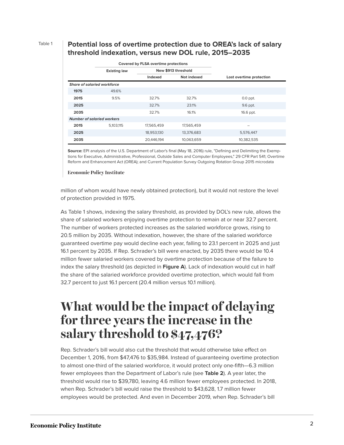#### Table 1 **Potential loss of overtime protection due to OREA's lack of salary threshold indexation, versus new DOL rule, 2015–2035**

|                                   |                                    | Covered by FLSA overtime protections |                     |                          |  |  |  |  |
|-----------------------------------|------------------------------------|--------------------------------------|---------------------|--------------------------|--|--|--|--|
|                                   | <b>Existing law</b>                |                                      | New \$913 threshold |                          |  |  |  |  |
|                                   |                                    | Indexed                              | Not indexed         | Lost overtime protection |  |  |  |  |
|                                   | <b>Share of salaried workforce</b> |                                      |                     |                          |  |  |  |  |
| 1975                              | 49.6%                              |                                      |                     |                          |  |  |  |  |
| 2015                              | 9.5%                               | 32.7%                                | 32.7%               | $0.0$ ppt.               |  |  |  |  |
| 2025                              |                                    | 32.7%                                | 23.1%               | 9.6 ppt.                 |  |  |  |  |
| 2035                              |                                    | 32.7%                                | 16.1%               | 16.6 ppt.                |  |  |  |  |
| <b>Number of salaried workers</b> |                                    |                                      |                     |                          |  |  |  |  |
| 2015                              | 5,103,115                          | 17,565,459                           | 17,565,459          |                          |  |  |  |  |
| 2025                              |                                    | 18,953,130                           | 13,376,683          | 5,576,447                |  |  |  |  |
| 2035                              |                                    | 20,446,194                           | 10,063,659          | 10,382,535               |  |  |  |  |

**Source:** EPI analysis of the U.S. Department of Labor's final (May 18, 2016) rule, "Defining and Delimiting the Exemptions for Executive, Administrative, Professional, Outside Sales and Computer Employees," 29 CFR Part 541; Overtime Reform and Enhancement Act (OREA); and Current Population Survey Outgoing Rotation Group 2015 microdata

**Economic Policy Institute** 

million of whom would have newly obtained protection), but it would not restore the level of protection provided in 1975.

As Table 1 shows, indexing the salary threshold, as provided by DOL's new rule, allows the share of salaried workers enjoying overtime protection to remain at or near 32.7 percent. The number of workers protected increases as the salaried workforce grows, rising to 20.5 million by 2035. Without indexation, however, the share of the salaried workforce guaranteed overtime pay would decline each year, falling to 23.1 percent in 2025 and just 16.1 percent by 2035. If Rep. Schrader's bill were enacted, by 2035 there would be 10.4 million fewer salaried workers covered by overtime protection because of the failure to index the salary threshold (as depicted in **Figure A**). Lack of indexation would cut in half the share of the salaried workforce provided overtime protection, which would fall from 32.7 percent to just 16.1 percent (20.4 million versus 10.1 million).

### <span id="page-2-0"></span>**What would be the impact of delaying for three years the increase in the salary threshold to \$47,476?**

Rep. Schrader's bill would also cut the threshold that would otherwise take effect on December 1, 2016, from \$47,476 to \$35,984. Instead of guaranteeing overtime protection to almost one-third of the salaried workforce, it would protect only one-fifth—6.3 million fewer employees than the Department of Labor's rule (see **Table 2**). A year later, the threshold would rise to \$39,780, leaving 4.6 million fewer employees protected. In 2018, when Rep. Schrader's bill would raise the threshold to \$43,628, 1.7 million fewer employees would be protected. And even in December 2019, when Rep. Schrader's bill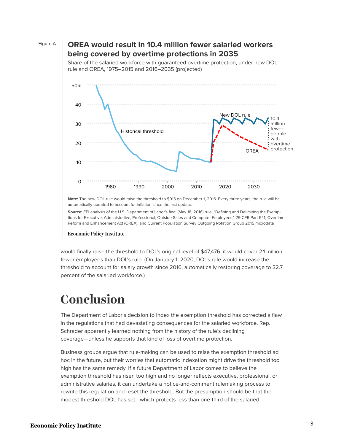

### Figure A **OREA would result in 10.4 million fewer salaried workers being covered by overtime protections in 2035**



Share of the salaried workforce with guaranteed overtime protection, under new DOL rule and OREA, 1975–2015 and 2016–2035 (projected)

**Note:** The new DOL rule would raise the threshold to \$913 on December 1, 2016. Every three years, the rule will be automatically updated to account for inflation since the last update.

**Source:** EPI analysis of the U.S. Department of Labor's final (May 18, 2016) rule, "Defining and Delimiting the Exemp-*1986* 17.1% tions for Executive, Administrative, Professional, Outside Sales and Computer Employees," 29 CFR Part 541; Overtime Reform and Enhancement Act (OREA); and Current Population Survey Outgoing Rotation Group 2015 microdata *1987* 15.3%

#### **Economic Policy Institute**

*1990* 11.8% would finally raise the threshold to DOL's original level of \$47,476, it would cover 2.1 million fewer employees than DOL's rule. (On January 1, 2020, DOL's rule would increase the percent of the salaried workforce.) threshold to account for salary growth since 2016, automatically restoring coverage to 32.7

#### <span id="page-3-0"></span>*1994* 10.3%  $Conclusion$

The Department of Labor's decision to index the exemption threshold has corrected a flaw in the regulations that had devastating consequences for the salaried workforce. Rep. Schrader apparently learned nothing from the history of the rule's declining *1999* 6.6% coverage—unless he supports that kind of loss of overtime protection.

Business groups argue that rule-making can be used to raise the exemption threshold ad *2001* 5.5% hoc in the future, but their worries that automatic indexation might drive the threshold too *2002* 5.3% exemption threshold has risen too high and no longer reflects executive, professional, or *2003* 4.9% administrative salaries, it can undertake a notice-and-comment rulemaking process to rewrite this regulation and reset the threshold. But the presumption should be that the modest threshold DOL has set—which protects less than one-third of the salaried high has the same remedy. If a future Department of Labor comes to believe the

*2006* 13.2%